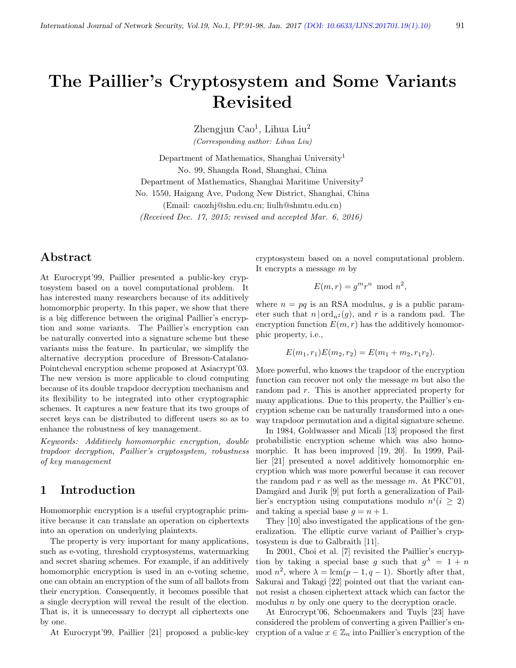# The Paillier's Cryptosystem and Some Variants Revisited

Zhengjun Cao<sup>1</sup>, Lihua Liu<sup>2</sup> (Corresponding author: Lihua Liu)

Department of Mathematics, Shanghai University<sup>1</sup> No. 99, Shangda Road, Shanghai, China Department of Mathematics, Shanghai Maritime University<sup>2</sup> No. 1550, Haigang Ave, Pudong New District, Shanghai, China (Email: caozhj@shu.edu.cn; liulh@shmtu.edu.cn) (Received Dec. 17, 2015; revised and accepted Mar. 6, 2016)

# Abstract

At Eurocrypt'99, Paillier presented a public-key cryptosystem based on a novel computational problem. It has interested many researchers because of its additively homomorphic property. In this paper, we show that there is a big difference between the original Paillier's encryption and some variants. The Paillier's encryption can be naturally converted into a signature scheme but these variants miss the feature. In particular, we simplify the alternative decryption procedure of Bresson-Catalano-Pointcheval encryption scheme proposed at Asiacrypt'03. The new version is more applicable to cloud computing because of its double trapdoor decryption mechanism and its flexibility to be integrated into other cryptographic schemes. It captures a new feature that its two groups of secret keys can be distributed to different users so as to enhance the robustness of key management.

Keywords: Additively homomorphic encryption, double trapdoor decryption, Paillier's cryptosystem, robustness of key management

# 1 Introduction

Homomorphic encryption is a useful cryptographic primitive because it can translate an operation on ciphertexts into an operation on underlying plaintexts.

The property is very important for many applications, such as e-voting, threshold cryptosystems, watermarking and secret sharing schemes. For example, if an additively homomorphic encryption is used in an e-voting scheme, one can obtain an encryption of the sum of all ballots from their encryption. Consequently, it becomes possible that a single decryption will reveal the result of the election. That is, it is unnecessary to decrypt all ciphertexts one by one.

At Eurocrypt'99, Paillier [21] proposed a public-key

cryptosystem based on a novel computational problem. It encrypts a message m by

$$
E(m,r) = g^m r^n \mod n^2,
$$

where  $n = pq$  is an RSA modulus, q is a public parameter such that  $n | ord_{n^2}(g)$ , and r is a random pad. The encryption function  $E(m, r)$  has the additively homomorphic property, i.e.,

$$
E(m_1, r_1)E(m_2, r_2) = E(m_1 + m_2, r_1r_2).
$$

More powerful, who knows the trapdoor of the encryption function can recover not only the message  $m$  but also the random pad r. This is another appreciated property for many applications. Due to this property, the Paillier's encryption scheme can be naturally transformed into a oneway trapdoor permutation and a digital signature scheme.

In 1984, Goldwasser and Micali [13] proposed the first probabilistic encryption scheme which was also homomorphic. It has been improved [19, 20]. In 1999, Paillier [21] presented a novel additively homomorphic encryption which was more powerful because it can recover the random pad r as well as the message m. At PKC'01, Damgård and Jurik [9] put forth a generalization of Paillier's encryption using computations modulo  $n^{i} (i \geq 2)$ and taking a special base  $q = n + 1$ .

They [10] also investigated the applications of the generalization. The elliptic curve variant of Paillier's cryptosystem is due to Galbraith [11].

In 2001, Choi et al. [7] revisited the Paillier's encryption by taking a special base g such that  $g^{\lambda} = 1 + n$ mod  $n^2$ , where  $\lambda = \text{lcm}(p-1, q-1)$ . Shortly after that, Sakurai and Takagi [22] pointed out that the variant cannot resist a chosen ciphertext attack which can factor the modulus *n* by only one query to the decryption oracle.

At Eurocrypt'06, Schoenmakers and Tuyls [23] have considered the problem of converting a given Paillier's encryption of a value  $x \in \mathbb{Z}_n$  into Paillier's encryption of the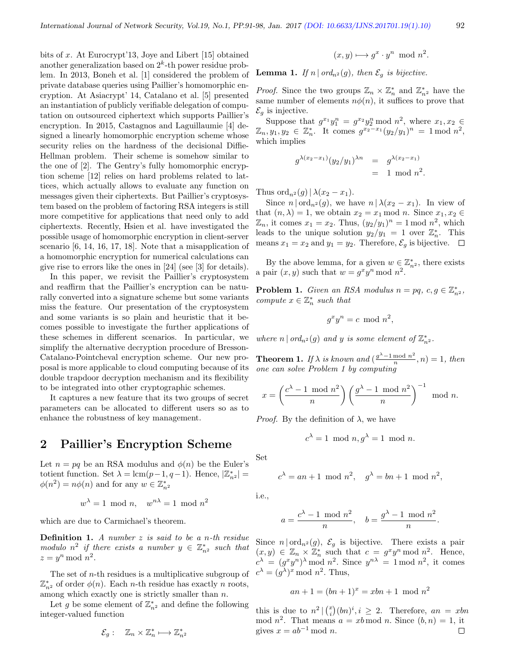bits of x. At Eurocrypt'13, Joye and Libert [15] obtained another generalization based on  $2<sup>k</sup>$ -th power residue problem. In 2013, Boneh et al. [1] considered the problem of private database queries using Paillier's homomorphic encryption. At Asiacrypt' 14, Catalano et al. [5] presented an instantiation of publicly verifiable delegation of computation on outsourced ciphertext which supports Paillier's encryption. In 2015, Castagnos and Laguillaumie [4] designed a linearly homomorphic encryption scheme whose security relies on the hardness of the decisional Diffie-Hellman problem. Their scheme is somehow similar to the one of [2]. The Gentry's fully homomorphic encryption scheme [12] relies on hard problems related to lattices, which actually allows to evaluate any function on messages given their ciphertexts. But Paillier's cryptosystem based on the problem of factoring RSA integers is still more competitive for applications that need only to add ciphertexts. Recently, Hsien et al. have investigated the possible usage of homomorphic encryption in client-server scenario [6, 14, 16, 17, 18]. Note that a misapplication of a homomorphic encryption for numerical calculations can give rise to errors like the ones in [24] (see [3] for details).

In this paper, we revisit the Paillier's cryptosystem and reaffirm that the Paillier's encryption can be naturally converted into a signature scheme but some variants miss the feature. Our presentation of the cryptosystem and some variants is so plain and heuristic that it becomes possible to investigate the further applications of these schemes in different scenarios. In particular, we simplify the alternative decryption procedure of Bresson-Catalano-Pointcheval encryption scheme. Our new proposal is more applicable to cloud computing because of its double trapdoor decryption mechanism and its flexibility to be integrated into other cryptographic schemes.

It captures a new feature that its two groups of secret parameters can be allocated to different users so as to enhance the robustness of key management.

# 2 Paillier's Encryption Scheme

Let  $n = pq$  be an RSA modulus and  $\phi(n)$  be the Euler's totient function. Set  $\lambda = \text{lcm}(p-1, q-1)$ . Hence,  $|\mathbb{Z}_{n^2}^*|$  =  $\phi(n^2) = n\phi(n)$  and for any  $w \in \mathbb{Z}_{n^2}^*$ 

$$
w^{\lambda} = 1 \mod n, \quad w^{n\lambda} = 1 \mod n^2
$$

which are due to Carmichael's theorem.

**Definition 1.** A number  $z$  is said to be a n-th residue modulo  $n^2$  if there exists a number  $y \in \mathbb{Z}_{n^2}^*$  such that  $z = y^n \bmod n^2$ .

The set of n-th residues is a multiplicative subgroup of  $\mathbb{Z}_{n^2}^*$  of order  $\phi(n)$ . Each *n*-th residue has exactly *n* roots, among which exactly one is strictly smaller than n.

Let g be some element of  $\mathbb{Z}_{n^2}^*$  and define the following integer-valued function

$$
\mathcal{E}_g: \quad \mathbb{Z}_n \times \mathbb{Z}_n^* \longmapsto \mathbb{Z}_{n^2}^*
$$

$$
(x,y)\longmapsto g^x\cdot y^n \mod n^2.
$$

**Lemma 1.** If n | ord<sub>n</sub>2(g), then  $\mathcal{E}_g$  is bijective.

*Proof.* Since the two groups  $\mathbb{Z}_n \times \mathbb{Z}_n^*$  and  $\mathbb{Z}_{n^2}^*$  have the same number of elements  $n\phi(n)$ , it suffices to prove that  $\mathcal{E}_q$  is injective.

Suppose that  $g^{x_1}y_1^n = g^{x_2}y_2^n \mod n^2$ , where  $x_1, x_2 \in$  $\mathbb{Z}_n, y_1, y_2 \in \mathbb{Z}_n^*.$  It comes  $g^{x_2-x_1}(y_2/y_1)^n = 1 \bmod n^2,$ which implies

$$
g^{\lambda(x_2 - x_1)}(y_2/y_1)^{\lambda n} = g^{\lambda(x_2 - x_1)} = 1 \mod n^2.
$$

Thus  $\operatorname{ord}_{n^2}(g) \mid \lambda(x_2 - x_1)$ .

Since  $n | ord_{n^2}(g)$ , we have  $n | \lambda(x_2 - x_1)$ . In view of that  $(n, \lambda) = 1$ , we obtain  $x_2 = x_1 \mod n$ . Since  $x_1, x_2 \in$  $\mathbb{Z}_n$ , it comes  $x_1 = x_2$ . Thus,  $(y_2/y_1)^n = 1 \mod n^2$ , which leads to the unique solution  $y_2/y_1 = 1$  over  $\mathbb{Z}_n^*$ . This means  $x_1 = x_2$  and  $y_1 = y_2$ . Therefore,  $\mathcal{E}_q$  is bijective.  $\Box$ 

By the above lemma, for a given  $w \in \mathbb{Z}_{n^2}^*$ , there exists a pair  $(x, y)$  such that  $w = g^x y^n \mod n^2$ .

**Problem 1.** Given an RSA modulus  $n = pq, c, g \in \mathbb{Z}_{n^2}^*$ , compute  $x \in \mathbb{Z}_n^*$  such that

$$
g^x y^n = c \mod n^2,
$$

where  $n | ord_{n^2}(g)$  and y is some element of  $\mathbb{Z}_{n^2}^*$ .

**Theorem 1.** If  $\lambda$  is known and  $\left(\frac{g^{\lambda}-1 \mod n^2}{n}\right)$  $\frac{m \cdot \alpha}{n}, n) = 1$ , then one can solve Problem 1 by computing

$$
x = \left(\frac{c^{\lambda} - 1 \mod n^2}{n}\right) \left(\frac{g^{\lambda} - 1 \mod n^2}{n}\right)^{-1} \mod n.
$$

*Proof.* By the definition of  $\lambda$ , we have

$$
c^{\lambda} = 1 \mod n, g^{\lambda} = 1 \mod n.
$$

Set

$$
c^{\lambda} = an + 1 \mod n^2, \quad g^{\lambda} = bn + 1 \mod n^2,
$$

i.e.,

$$
a = \frac{c^{\lambda} - 1 \mod n^2}{n}, \quad b = \frac{g^{\lambda} - 1 \mod n^2}{n}.
$$

Since  $n | \text{ord}_{n^2}(g)$ ,  $\mathcal{E}_g$  is bijective. There exists a pair  $(x, y) \in \mathbb{Z}_n \times \mathbb{Z}_n^*$  such that  $c = g^x y^n \mod n^2$ . Hence,  $c^{\lambda} = (g^x y^n)^{\lambda} \mod n^2$ . Since  $y^{n\lambda} = 1 \mod n^2$ , it comes  $c^{\lambda} = (g^{\lambda})^x \mod n^2$ . Thus,

$$
an + 1 = (bn + 1)^x = xbn + 1 \mod n^2
$$

this is due to  $n^2 \mid {x \choose i}(bn)^i, i \geq 2$ . Therefore,  $an = xbn$ mod  $n^2$ . That means  $a = xb \mod n$ . Since  $(b, n) = 1$ , it gives  $x = ab^{-1} \mod n$ .  $\Box$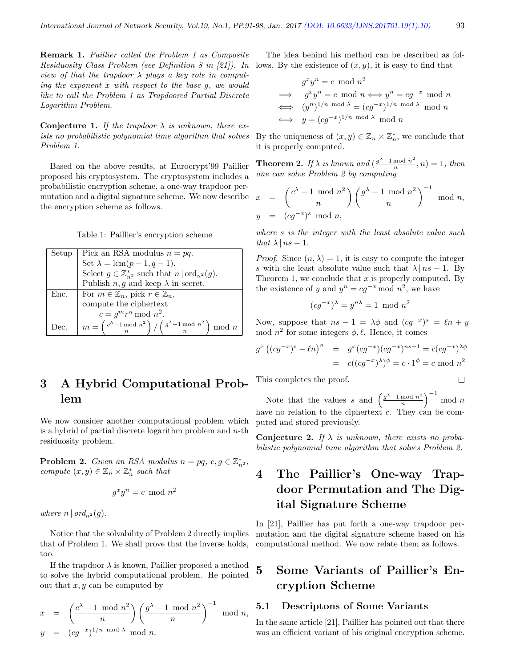Remark 1. Paillier called the Problem 1 as Composite Residuosity Class Problem (see Definition 8 in [21]). In view of that the trapdoor  $\lambda$  plays a key role in computing the exponent x with respect to the base g, we would like to call the Problem 1 as Trapdoored Partial Discrete Logarithm Problem.

Conjecture 1. If the trapdoor  $\lambda$  is unknown, there exists no probabilistic polynomial time algorithm that solves Problem 1.

Based on the above results, at Eurocrypt'99 Paillier proposed his cryptosystem. The cryptosystem includes a probabilistic encryption scheme, a one-way trapdoor permutation and a digital signature scheme. We now describe the encryption scheme as follows.

Table 1: Paillier's encryption scheme

| Setup | Pick an RSA modulus $n = pq$ .                                                                                        |  |
|-------|-----------------------------------------------------------------------------------------------------------------------|--|
|       | Set $\lambda = \text{lcm}(p-1, q-1)$ .                                                                                |  |
|       | Select $g \in \mathbb{Z}_{n^2}^*$ such that $n   \text{ord}_{n^2}(g)$ .                                               |  |
|       | Publish $n, g$ and keep $\lambda$ in secret.                                                                          |  |
| Enc.  | For $m \in \mathbb{Z}_n$ , pick $r \in \mathbb{Z}_n$ ,                                                                |  |
|       | compute the ciphertext                                                                                                |  |
|       | $c = g^m r^n \bmod n^2$ .                                                                                             |  |
| Dec.  | $\left( \frac{g^{\lambda}-1 \bmod n^2}{n} \right)$<br>$m = \left(\frac{c^{\lambda}-1 \mod n^2}{n}\right)$<br>$mod\ n$ |  |

# 3 A Hybrid Computational Problem

We now consider another computational problem which is a hybrid of partial discrete logarithm problem and  $n$ -th residuosity problem.

**Problem 2.** Given an RSA modulus  $n = pq, c, g \in \mathbb{Z}_{n^2}^*$ , compute  $(x, y) \in \mathbb{Z}_n \times \mathbb{Z}_n^*$  such that

$$
g^x y^n = c \mod n^2
$$

where  $n \mid ord_{n^2}(g)$ .

Notice that the solvability of Problem 2 directly implies that of Problem 1. We shall prove that the inverse holds, too.

If the trapdoor  $\lambda$  is known, Paillier proposed a method to solve the hybrid computational problem. He pointed out that  $x, y$  can be computed by

$$
x = \left(\frac{c^{\lambda} - 1 \mod n^2}{n}\right) \left(\frac{g^{\lambda} - 1 \mod n^2}{n}\right)^{-1} \mod n,
$$
  

$$
y = (cg^{-x})^{1/n \mod \lambda} \mod n.
$$

The idea behind his method can be described as follows. By the existence of  $(x, y)$ , it is easy to find that

$$
g^x y^n = c \mod n^2
$$
  
\n
$$
\implies g^x y^n = c \mod n \iff y^n = c g^{-x} \mod n
$$
  
\n
$$
\iff (y^n)^{1/n} \mod \lambda = (c g^{-x})^{1/n} \mod \lambda \mod n
$$
  
\n
$$
\iff y = (c g^{-x})^{1/n} \mod \lambda \mod n
$$

By the uniqueness of  $(x, y) \in \mathbb{Z}_n \times \mathbb{Z}_n^*$ , we conclude that it is properly computed.

**Theorem 2.** If  $\lambda$  is known and  $\left(\frac{g^{\lambda}-1 \mod n^2}{n}\right)$  $\frac{m \cdot \alpha}{n}, n) = 1$ , then one can solve Problem 2 by computing

$$
x = \left(\frac{c^{\lambda} - 1 \mod n^2}{n}\right) \left(\frac{g^{\lambda} - 1 \mod n^2}{n}\right)^{-1} \mod n,
$$
  

$$
y = (cg^{-x})^s \mod n,
$$

where s is the integer with the least absolute value such that  $\lambda \mid ns-1$ .

*Proof.* Since  $(n, \lambda) = 1$ , it is easy to compute the integer s with the least absolute value such that  $\lambda \mid ns-1$ . By Theorem 1, we conclude that  $x$  is properly computed. By the existence of y and  $y^n = cg^{-x} \mod n^2$ , we have

$$
(cg^{-x})^{\lambda} = y^{n\lambda} = 1 \mod n^2
$$

Now, suppose that  $ns - 1 = \lambda \phi$  and  $(cg^{-x})^s = \ell n + y$ mod  $n^2$  for some integers  $\phi, \ell$ . Hence, it comes

$$
g^{x} ((cg^{-x})^{s} - \ell n)^{n} = g^{x} (cg^{-x}) (cg^{-x})^{ns-1} = c(cg^{-x})^{\lambda \phi}
$$
  
=  $c((cg^{-x})^{\lambda})^{\phi} = c \cdot 1^{\phi} = c \mod n^{2}$ 

This completes the proof.

Note that the values s and  $\left(\frac{g^{\lambda}-1 \mod n^2}{n}\right)$  $\left(\frac{m \cdot \alpha}{n}\right)^{-1} \mod n$ have no relation to the ciphertext  $c$ . They can be computed and stored previously.

**Conjecture 2.** If  $\lambda$  is unknown, there exists no probabilistic polynomial time algorithm that solves Problem 2.

# 4 The Paillier's One-way Trapdoor Permutation and The Digital Signature Scheme

In [21], Paillier has put forth a one-way trapdoor permutation and the digital signature scheme based on his computational method. We now relate them as follows.

# 5 Some Variants of Paillier's Encryption Scheme

#### 5.1 Descriptons of Some Variants

In the same article [21], Paillier has pointed out that there was an efficient variant of his original encryption scheme.

 $\Box$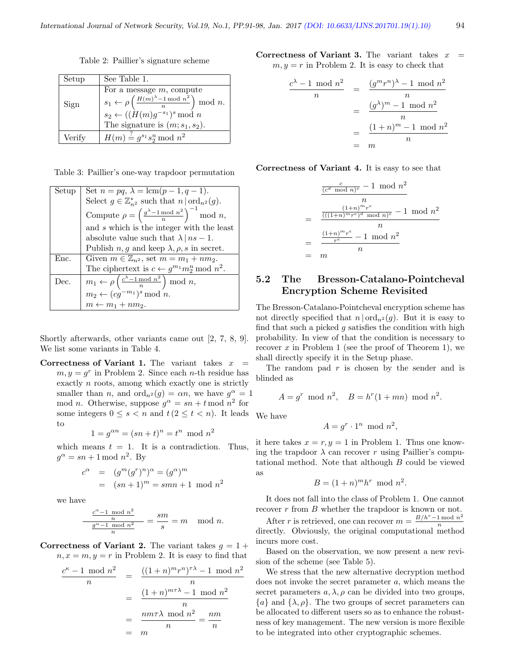Table 2: Paillier's signature scheme

| Setup  | See Table 1.                                                                    |
|--------|---------------------------------------------------------------------------------|
|        | For a message $m$ , compute                                                     |
| Sign   | $s_1 \leftarrow \rho\left(\frac{H(m)^{\lambda}-1 \bmod n^2}{n}\right) \bmod n.$ |
|        | $s_2 \leftarrow ((\tilde{H}(m)g^{-s_1})^s \mod n)$                              |
|        | The signature is $(m; s_1, s_2)$ .                                              |
| Verify | $H(m) \stackrel{\text{f}}{=} g^{s_1} s_2^n \bmod n^2$                           |

|  |  | Table 3: Paillier's one-way trapdoor permutation |
|--|--|--------------------------------------------------|
|  |  |                                                  |

| Setup | Set $n = pq$ , $\lambda = \text{lcm}(p - 1, q - 1)$ .                          |  |
|-------|--------------------------------------------------------------------------------|--|
|       | Select $g \in \mathbb{Z}_{n^2}^*$ such that $n   \text{ord}_{n^2}(g)$ .        |  |
|       | Compute $\rho = \left(\frac{g^{\lambda} - 1 \mod n^2}{n}\right)^{-1} \mod n$ , |  |
|       | and s which is the integer with the least                                      |  |
|       | absolute value such that $\lambda \mid ns-1$ .                                 |  |
|       | Publish $n, g$ and keep $\lambda, \rho, s$ in secret.                          |  |
| Enc.  | Given $m \in \mathbb{Z}_{n^2}$ , set $m = m_1 + nm_2$ .                        |  |
|       | The ciphertext is $c \leftarrow g^{m_1} m_2^n \mod n^2$ .                      |  |
| Dec.  | $m_1 \leftarrow \rho\left(\frac{c^{\lambda}-1 \mod n^2}{n}\right) \mod n,$     |  |
|       | $m_2 \leftarrow (cg^{-m_1})^s \bmod n.$                                        |  |
|       | $m \leftarrow m_1 + nm_2.$                                                     |  |

Shortly afterwards, other variants came out [2, 7, 8, 9]. We list some variants in Table 4.

Correctness of Variant 1. The variant takes  $x =$  $m, y = g^r$  in Problem 2. Since each *n*-th residue has exactly n roots, among which exactly one is strictly smaller than *n*, and  $\text{ord}_{n^2}(g) = \alpha n$ , we have  $g^{\alpha} = 1$ mod *n*. Otherwise, suppose  $g^{\alpha} = sn + t \mod n^2$  for some integers  $0 \leq s < n$  and  $t (2 \leq t < n)$ . It leads to

$$
1 = g^{\alpha n} = (sn + t)^n = t^n \mod n^2
$$

which means  $t = 1$ . It is a contradiction. Thus,  $g^{\alpha} = sn + 1 \mod n^2$ . By

$$
c^{\alpha} = (g^m(g^r)^n)^{\alpha} = (g^{\alpha})^m
$$
  
= 
$$
(sn+1)^m = smn+1 \mod n^2
$$

we have

$$
\frac{\frac{c^{\alpha}-1 \mod n^2}{n}}{\frac{g^{\alpha}-1 \mod n^2}{n}} = \frac{sm}{s} = m \mod n.
$$

Correctness of Variant 2. The variant takes  $g = 1 +$  $n, x = m, y = r$  in Problem 2. It is easy to find that

$$
\frac{c^{\kappa} - 1 \mod n^2}{n} = \frac{((1+n)^m r^n)^{\tau \lambda} - 1 \mod n^2}{n}
$$

$$
= \frac{(1+n)^{m\tau \lambda} - 1 \mod n^2}{n}
$$

$$
= \frac{n m \tau \lambda \mod n^2}{n} = \frac{n m}{n}
$$

$$
= m
$$

Correctness of Variant 3. The variant takes  $x =$  $m, y = r$  in Problem 2. It is easy to check that

$$
\frac{c^{\lambda} - 1 \mod n^2}{n} = \frac{(g^m r^n)^{\lambda} - 1 \mod n^2}{n}
$$

$$
= \frac{(g^{\lambda})^m - 1 \mod n^2}{n}
$$

$$
= \frac{(1 + n)^m - 1 \mod n^2}{n}
$$

$$
= m
$$

Correctness of Variant 4. It is easy to see that

$$
\frac{\frac{c}{(c^d \mod n)^e} - 1 \mod n^2}{n}
$$
\n
$$
= \frac{\frac{(1+n)^m r^e}{((1+n)^m r^e)^d \mod n)^e} - 1 \mod n^2}{n}
$$
\n
$$
= \frac{\frac{(1+n)^m r^e}{r^e} - 1 \mod n^2}{n}
$$
\n
$$
= m
$$

### 5.2 The Bresson-Catalano-Pointcheval Encryption Scheme Revisited

The Bresson-Catalano-Pointcheval encryption scheme has not directly specified that  $n | ord_{n^2}(g)$ . But it is easy to find that such a picked  $g$  satisfies the condition with high probability. In view of that the condition is necessary to recover  $x$  in Problem 1 (see the proof of Theorem 1), we shall directly specify it in the Setup phase.

The random pad  $r$  is chosen by the sender and is blinded as

$$
A = g^r \mod n^2, \quad B = h^r(1+mn) \mod n^2.
$$

We have

$$
A = g^r \cdot 1^n \mod n^2,
$$

it here takes  $x = r, y = 1$  in Problem 1. Thus one knowing the trapdoor  $\lambda$  can recover r using Paillier's computational method. Note that although B could be viewed as

$$
B = (1+n)^m h^r \mod n^2.
$$

It does not fall into the class of Problem 1. One cannot recover r from B whether the trapdoor is known or not.

After r is retrieved, one can recover  $m = \frac{B/h^r - 1 \mod n^2}{n}$ n directly. Obviously, the original computational method incurs more cost.

Based on the observation, we now present a new revision of the scheme (see Table 5).

We stress that the new alternative decryption method does not invoke the secret parameter a, which means the secret parameters  $a, \lambda, \rho$  can be divided into two groups,  ${a}$  and  ${\lambda, \rho}$ . The two groups of secret parameters can be allocated to different users so as to enhance the robustness of key management. The new version is more flexible to be integrated into other cryptographic schemes.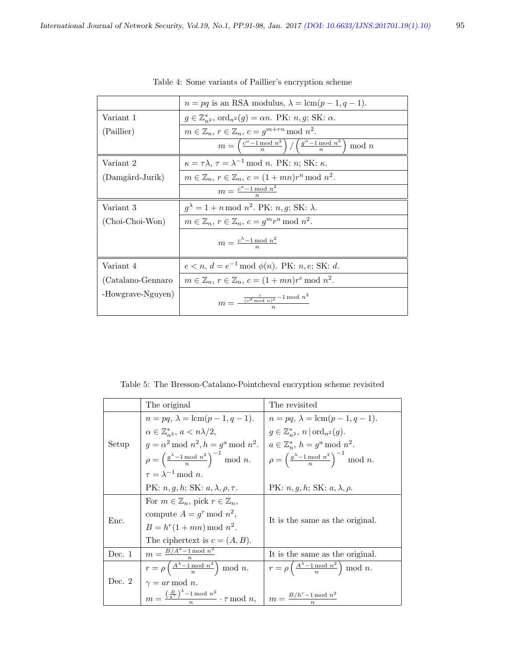|                   | $n = pq$ is an RSA modulus, $\lambda = \text{lcm}(p-1, q-1)$ .                                               |
|-------------------|--------------------------------------------------------------------------------------------------------------|
| Variant 1         | $g \in \mathbb{Z}_{n^2}^*$ , ord $_{n^2}(g) = \alpha n$ . PK: $n, g$ ; SK: $\alpha$ .                        |
| (Paillier)        | $m \in \mathbb{Z}_n$ , $r \in \mathbb{Z}_n$ , $c = g^{m+rn} \mod n^2$ .                                      |
|                   | $m = \left(\frac{c^{\alpha}-1 \bmod n^2}{n}\right) / \left(\frac{g^{\alpha}-1 \bmod n^2}{n}\right)$<br>mod n |
| Variant 2         | $\kappa = \tau \lambda$ , $\tau = \lambda^{-1}$ mod <i>n</i> . PK: <i>n</i> ; SK: $\kappa$ .                 |
| (Damgård-Jurik)   | $m \in \mathbb{Z}_n$ , $r \in \mathbb{Z}_n$ , $c = (1 + mn)r^n \mod n^2$ .                                   |
|                   | $m = \frac{c^{\kappa} - 1 \bmod n^2}{n}$                                                                     |
| Variant 3         | $g^{\lambda} = 1 + n \mod n^2$ . PK: n, g; SK: $\lambda$ .                                                   |
| (Choi-Choi-Won)   | $m \in \mathbb{Z}_n$ , $r \in \mathbb{Z}_n$ , $c = q^m r^n \mod n^2$ .                                       |
|                   | $m = \frac{c^{\lambda} - 1 \mod n^2}{n}$                                                                     |
| Variant 4         | $e < n, d = e^{-1} \mod \phi(n)$ . PK: n, e; SK: d.                                                          |
| (Catalano-Gennaro | $m \in \mathbb{Z}_n$ , $r \in \mathbb{Z}_n$ , $c = (1 + mn)r^e \mod n^2$ .                                   |
| -Howgrave-Nguyen) | $m = \frac{\frac{c}{(c^d \bmod n)^e} - 1 \bmod n^2}{n}$                                                      |

Table 4: Some variants of Paillier's encryption scheme

Table 5: The Bresson-Catalano-Pointcheval encryption scheme revisited

|          | The original                                                                             | The revisited                                                                          |  |
|----------|------------------------------------------------------------------------------------------|----------------------------------------------------------------------------------------|--|
|          | $n = pq, \lambda = \text{lcm}(p-1, q-1).$                                                | $n = pq, \lambda = \text{lcm}(p-1, q-1).$                                              |  |
| Setup    | $\alpha \in \mathbb{Z}_{n^2}^*, a < n\lambda/2,$                                         | $g \in \mathbb{Z}_{n^2}^*$ , $n   \text{ord}_{n^2}(g)$ .                               |  |
|          | $g = \alpha^2 \mod n^2, h = g^a \mod n^2.$                                               | $a \in \mathbb{Z}_n^*, h = g^a \bmod n^2.$                                             |  |
|          | $\rho = \left(\frac{g^{\lambda} - 1 \mod n^2}{n}\right)^{-1} \mod n.$                    | $\left  \rho = \left( \frac{g^{\lambda} - 1 \mod n^2}{n} \right)^{-1} \mod n. \right.$ |  |
|          | $\tau = \lambda^{-1} \mod n$ .                                                           |                                                                                        |  |
|          | PK: $n, q, h$ ; SK: $a, \lambda, \rho, \tau$ .                                           | PK: $n, g, h$ ; SK: $a, \lambda, \rho$ .                                               |  |
|          | For $m \in \mathbb{Z}_n$ , pick $r \in \mathbb{Z}_n$ ,                                   |                                                                                        |  |
|          | compute $A = q^r \mod n^2$ ,                                                             |                                                                                        |  |
| Enc.     | $B = h^{r}(1 + mn) \bmod n^{2}$ .                                                        | It is the same as the original.                                                        |  |
|          | The ciphertext is $c = (A, B)$ .                                                         |                                                                                        |  |
| Dec. $1$ | $m = \frac{B/A^a - 1 \mod n^2}{n}$                                                       | It is the same as the original.                                                        |  |
|          | $r = \rho\left(\frac{A^{\lambda}-1 \mod n^2}{n}\right) \mod n.$                          | $r = \rho \left( \frac{A^{\lambda} - 1 \mod n^2}{n} \right) \mod n.$                   |  |
| Dec. $2$ | $\gamma = ar \mod n$ .                                                                   |                                                                                        |  |
|          | $m = \frac{\left(\frac{B}{g\gamma}\right)^{\lambda} - 1 \mod n^2}{n} \cdot \tau \mod n,$ | $m = \frac{B/h^r - 1 \bmod n^2}{n}$                                                    |  |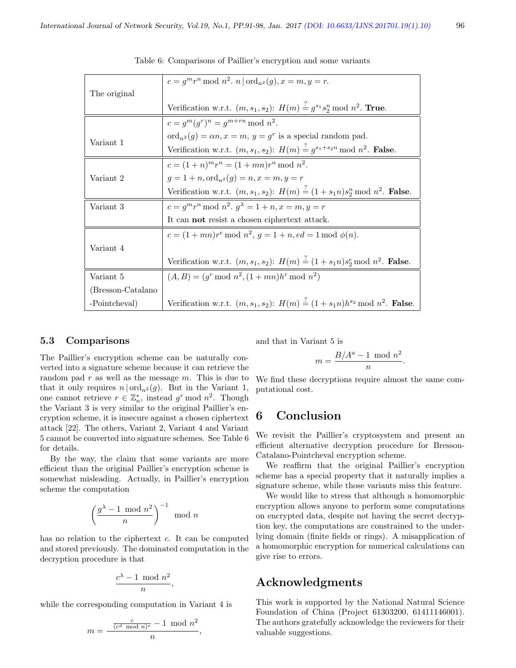|                   | $c = g^m r^n \bmod n^2$ . $n   ord_{n^2}(g), x = m, y = r$ .                                              |
|-------------------|-----------------------------------------------------------------------------------------------------------|
| The original      |                                                                                                           |
|                   | Verification w.r.t. $(m, s_1, s_2)$ : $H(m) \stackrel{?}{=} g^{s_1} s_2^n \bmod n^2$ . True.              |
|                   | $c = q^m (q^r)^n = q^{m+rn} \bmod n^2$ .                                                                  |
|                   | $\mathrm{ord}_{n^2}(g) = \alpha n, x = m, y = g^r$ is a special random pad.                               |
| Variant 1         | Verification w.r.t. $(m, s_1, s_2)$ : $H(m) \stackrel{?}{=} g^{s_1+s_2n} \mod n^2$ . False.               |
|                   | $c = (1+n)^m r^n = (1+mn)r^n \bmod n^2$ .                                                                 |
| Variant 2         | $q = 1 + n$ , $\text{ord}_{n^2}(q) = n$ , $x = m$ , $y = r$                                               |
|                   | Verification w.r.t. $(m, s_1, s_2)$ : $H(m) \stackrel{?}{=} (1 + s_1 n) s_2^n \mod n^2$ . False.          |
| Variant 3         | $c = g^m r^n \bmod n^2$ . $g^{\lambda} = 1 + n, x = m, y = r$                                             |
|                   | It can not resist a chosen ciphertext attack.                                                             |
|                   | $c = (1 + mn)r^e \mod n^2, g = 1 + n, ed = 1 \mod \phi(n).$                                               |
| Variant 4         |                                                                                                           |
|                   | Verification w.r.t. $(m, s_1, s_2)$ : $H(m) \stackrel{?}{=} (1 + s_1 n)s_2^e \mod n^2$ . False.           |
| Variant 5         | $(A, B) = (g^r \mod n^2, (1 + mn)h^r \mod n^2)$                                                           |
| (Bresson-Catalano |                                                                                                           |
| -Pointcheval)     | Verification w.r.t. $(m, s_1, s_2)$ : $H(m) \stackrel{?}{=} (1 + s_1 n)h^{s_2} \text{ mod } n^2$ . False. |

Table 6: Comparisons of Paillier's encryption and some variants

#### 5.3 Comparisons

The Paillier's encryption scheme can be naturally converted into a signature scheme because it can retrieve the random pad  $r$  as well as the message  $m$ . This is due to that it only requires  $n | ord_{n^2}(g)$ . But in the Variant 1, one cannot retrieve  $r \in \mathbb{Z}_n^*$ , instead  $g^r \mod n^2$ . Though the Variant 3 is very similar to the original Paillier's encryption scheme, it is insecure against a chosen ciphertext attack [22]. The others, Variant 2, Variant 4 and Variant 5 cannot be converted into signature schemes. See Table 6 for details.

By the way, the claim that some variants are more efficient than the original Paillier's encryption scheme is somewhat misleading. Actually, in Paillier's encryption scheme the computation

$$
\left(\frac{g^\lambda-1\ \mathrm{mod}\ n^2}{n}\right)^{-1}\ \mathrm{mod}\ n
$$

has no relation to the ciphertext c. It can be computed and stored previously. The dominated computation in the decryption procedure is that

$$
\frac{c^{\lambda}-1\ \operatorname{mod}\,n^2}{n}
$$

,

while the corresponding computation in Variant 4 is

$$
m = \frac{\frac{c}{(c^d \mod n)^e} - 1 \mod n^2}{n},
$$

and that in Variant 5 is

$$
m = \frac{B/A^a - 1 \mod n^2}{n}
$$

.

We find these decryptions require almost the same computational cost.

# 6 Conclusion

We revisit the Paillier's cryptosystem and present an efficient alternative decryption procedure for Bresson-Catalano-Pointcheval encryption scheme.

We reaffirm that the original Paillier's encryption scheme has a special property that it naturally implies a signature scheme, while those variants miss this feature.

We would like to stress that although a homomorphic encryption allows anyone to perform some computations on encrypted data, despite not having the secret decryption key, the computations are constrained to the underlying domain (finite fields or rings). A misapplication of a homomorphic encryption for numerical calculations can give rise to errors.

# Acknowledgments

This work is supported by the National Natural Science Foundation of China (Project 61303200, 61411146001). The authors gratefully acknowledge the reviewers for their valuable suggestions.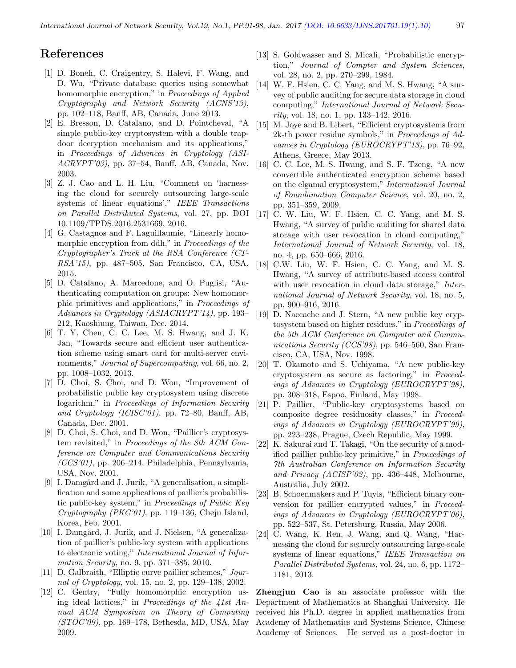### References

- [1] D. Boneh, C. Craigentry, S. Halevi, F. Wang, and D. Wu, "Private database queries using somewhat homomorphic encryption," in Proceedings of Applied Cryptography and Network Security (ACNS'13), pp. 102–118, Banff, AB, Canada, June 2013.
- [2] E. Bresson, D. Catalano, and D. Pointcheval, "A simple public-key cryptosystem with a double trapdoor decryption mechanism and its applications," in Proceedings of Advances in Cryptology (ASI- $ACRYPT'03$ , pp. 37–54, Banff, AB, Canada, Nov. 2003.
- [3] Z. J. Cao and L. H. Liu, "Comment on 'harnessing the cloud for securely outsourcing large-scale systems of linear equations'," IEEE Transactions on Parallel Distributed Systems, vol. 27, pp. DOI 10.1109/TPDS.2016.2531669, 2016.
- [4] G. Castagnos and F. Laguillaumie, "Linearly homomorphic encryption from ddh," in Proceedings of the Cryptographer's Track at the RSA Conference (CT-RSA'15), pp. 487–505, San Francisco, CA, USA, 2015.
- [5] D. Catalano, A. Marcedone, and O. Puglisi, "Authenticating computation on groups: New homomorphic primitives and applications," in Proceedings of Advances in Cryptology (ASIACRYPT'14), pp. 193– 212, Kaoshiung, Taiwan, Dec. 2014.
- [6] T. Y. Chen, C. C. Lee, M. S. Hwang, and J. K. Jan, "Towards secure and efficient user authentication scheme using smart card for multi-server environments," Journal of Supercomputing, vol. 66, no. 2, pp. 1008–1032, 2013.
- [7] D. Choi, S. Choi, and D. Won, "Improvement of probabilistic public key cryptosystem using discrete logarithm," in Proceedings of Information Security and Cryptology (ICISC'01), pp. 72–80, Banff, AB, Canada, Dec. 2001.
- [8] D. Choi, S. Choi, and D. Won, "Paillier's cryptosystem revisited," in Proceedings of the 8th ACM Conference on Computer and Communications Security  $(CCS'01)$ , pp. 206–214, Philadelphia, Pennsylvania, USA, Nov. 2001.
- [9] I. Damgård and J. Jurik, "A generalisation, a simplification and some applications of paillier's probabilistic public-key system," in Proceedings of Public Key Cryptography (PKC'01), pp. 119–136, Cheju Island, Korea, Feb. 2001.
- [10] I. Damgård, J. Jurik, and J. Nielsen, "A generalization of paillier's public-key system with applications to electronic voting," International Journal of Information Security, no. 9, pp. 371–385, 2010.
- [11] D. Galbraith, "Elliptic curve paillier schemes," Journal of Cryptology, vol. 15, no. 2, pp. 129–138, 2002.
- [12] C. Gentry, "Fully homomorphic encryption using ideal lattices," in Proceedings of the 41st Annual ACM Symposium on Theory of Computing (STOC'09), pp. 169–178, Bethesda, MD, USA, May 2009.
- [13] S. Goldwasser and S. Micali, "Probabilistic encryption," Journal of Compter and System Sciences, vol. 28, no. 2, pp. 270–299, 1984.
- [14] W. F. Hsien, C. C. Yang, and M. S. Hwang, "A survey of public auditing for secure data storage in cloud computing," International Journal of Network Security, vol. 18, no. 1, pp. 133–142, 2016.
- [15] M. Joye and B. Libert, "Efficient cryptosystems from 2k-th power residue symbols," in Proceedings of Advances in Cryptology (EUROCRYPT'13), pp. 76–92, Athens, Greece, May 2013.
- [16] C. C. Lee, M. S. Hwang, and S. F. Tzeng, "A new convertible authenticated encryption scheme based on the elgamal cryptosystem," International Journal of Foundamation Computer Science, vol. 20, no. 2, pp. 351–359, 2009.
- [17] C. W. Liu, W. F. Hsien, C. C. Yang, and M. S. Hwang, "A survey of public auditing for shared data storage with user revocation in cloud computing," International Journal of Network Security, vol. 18, no. 4, pp. 650–666, 2016.
- [18] C.W. Liu, W. F. Hsien, C. C. Yang, and M. S. Hwang, "A survey of attribute-based access control with user revocation in cloud data storage," International Journal of Network Security, vol. 18, no. 5, pp. 900–916, 2016.
- [19] D. Naccache and J. Stern, "A new public key cryptosystem based on higher residues," in Proceedings of the 5th ACM Conference on Computer and Communications Security (CCS'98), pp. 546–560, San Francisco, CA, USA, Nov. 1998.
- [20] T. Okamoto and S. Uchiyama, "A new public-key cryptosystem as secure as factoring," in Proceedings of Advances in Cryptology (EUROCRYPT'98), pp. 308–318, Espoo, Finland, May 1998.
- [21] P. Paillier, "Public-key cryptosystems based on composite degree residuosity classes," in Proceedings of Advances in Cryptology (EUROCRYPT'99), pp. 223–238, Prague, Czech Republic, May 1999.
- [22] K. Sakurai and T. Takagi, "On the security of a modified paillier public-key primitive," in Proceedings of 7th Australian Conference on Information Security and Privacy (ACISP'02), pp. 436–448, Melbourne, Australia, July 2002.
- [23] B. Schoenmakers and P. Tuyls, "Efficient binary conversion for paillier encrypted values," in Proceedings of Advances in Cryptology (EUROCRYPT'06), pp. 522–537, St. Petersburg, Russia, May 2006.
- [24] C. Wang, K. Ren, J. Wang, and Q. Wang, "Harnessing the cloud for securely outsourcing large-scale systems of linear equations," IEEE Transaction on Parallel Distributed Systems, vol. 24, no. 6, pp. 1172– 1181, 2013.

Zhengjun Cao is an associate professor with the Department of Mathematics at Shanghai University. He received his Ph.D. degree in applied mathematics from Academy of Mathematics and Systems Science, Chinese Academy of Sciences. He served as a post-doctor in